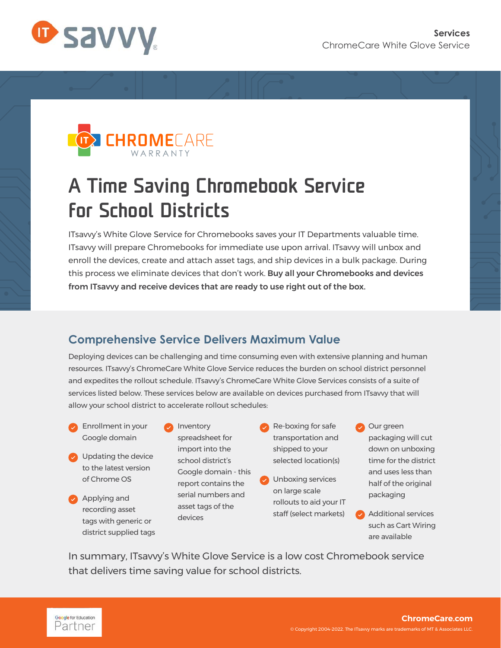



## A Time Saving Chromebook Service for School Districts

ITsavvy's White Glove Service for Chromebooks saves your IT Departments valuable time. ITsavvy will prepare Chromebooks for immediate use upon arrival. ITsavvy will unbox and enroll the devices, create and attach asset tags, and ship devices in a bulk package. During this process we eliminate devices that don't work. Buy all your Chromebooks and devices from ITsavvy and receive devices that are ready to use right out of the box.

## **Comprehensive Service Delivers Maximum Value**

Deploying devices can be challenging and time consuming even with extensive planning and human resources. ITsavvy's ChromeCare White Glove Service reduces the burden on school district personnel and expedites the rollout schedule. ITsavvy's ChromeCare White Glove Services consists of a suite of services listed below. These services below are available on devices purchased from ITsavvy that will allow your school district to accelerate rollout schedules:

- **•** Enrollment in your Google domain
- **•** Updating the device to the latest version of Chrome OS
- **Applying and** recording asset tags with generic or district supplied tags

**Inventory** spreadsheet for import into the school district's Google domain - this report contains the serial numbers and asset tags of the devices

- Re-boxing for safe transportation and shipped to your selected location(s)
- **•** Unboxing services on large scale rollouts to aid your IT staff (select markets)

**Our green** packaging will cut down on unboxing time for the district and uses less than half of the original packaging

• Additional services such as Cart Wiring are available

In summary, ITsavvy's White Glove Service is a low cost Chromebook service that delivers time saving value for school districts.